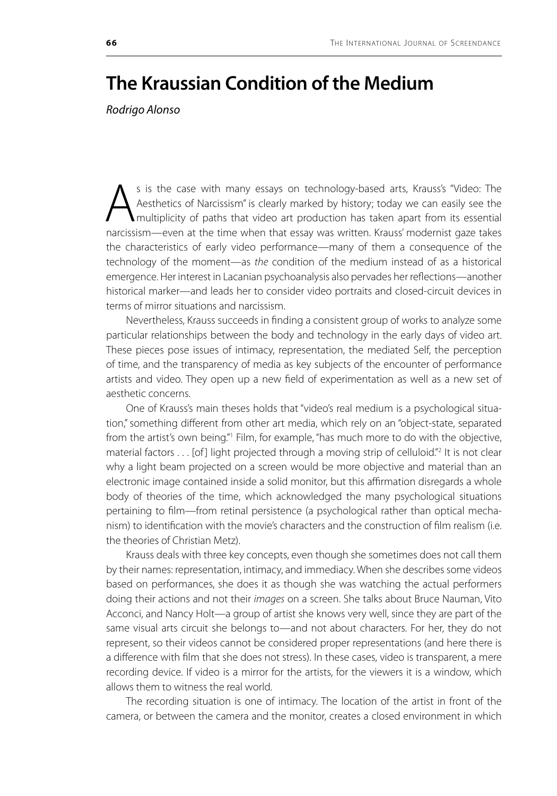## **The Kraussian Condition of the Medium**

*Rodrigo Alonso*

S is the case with many essays on technology-based arts, Krauss's "Video: The Aesthetics of Narcissism" is clearly marked by history; today we can easily see the multiplicity of paths that video art production has taken ap Aesthetics of Narcissism" is clearly marked by history; today we can easily see the multiplicity of paths that video art production has taken apart from its essential narcissism—even at the time when that essay was written. Krauss' modernist gaze takes the characteristics of early video performance—many of them a consequence of the technology of the moment—as *the* condition of the medium instead of as a historical emergence. Her interest in Lacanian psychoanalysis also pervades her reflections—another historical marker—and leads her to consider video portraits and closed-circuit devices in terms of mirror situations and narcissism.

Nevertheless, Krauss succeeds in finding a consistent group of works to analyze some particular relationships between the body and technology in the early days of video art. These pieces pose issues of intimacy, representation, the mediated Self, the perception of time, and the transparency of media as key subjects of the encounter of performance artists and video. They open up a new field of experimentation as well as a new set of aesthetic concerns.

One of Krauss's main theses holds that "video's real medium is a psychological situation," something different from other art media, which rely on an "object-state, separated from the artist's own being."<sup>1</sup> Film, for example, "has much more to do with the objective, material factors . . . [of] light projected through a moving strip of celluloid."<sup>2</sup> It is not clear why a light beam projected on a screen would be more objective and material than an electronic image contained inside a solid monitor, but this affirmation disregards a whole body of theories of the time, which acknowledged the many psychological situations pertaining to film—from retinal persistence (a psychological rather than optical mechanism) to identification with the movie's characters and the construction of film realism (i.e. the theories of Christian Metz).

Krauss deals with three key concepts, even though she sometimes does not call them by their names: representation, intimacy, and immediacy. When she describes some videos based on performances, she does it as though she was watching the actual performers doing their actions and not their *images* on a screen. She talks about Bruce Nauman, Vito Acconci, and Nancy Holt—a group of artist she knows very well, since they are part of the same visual arts circuit she belongs to—and not about characters. For her, they do not represent, so their videos cannot be considered proper representations (and here there is a difference with film that she does not stress). In these cases, video is transparent, a mere recording device. If video is a mirror for the artists, for the viewers it is a window, which allows them to witness the real world.

The recording situation is one of intimacy. The location of the artist in front of the camera, or between the camera and the monitor, creates a closed environment in which